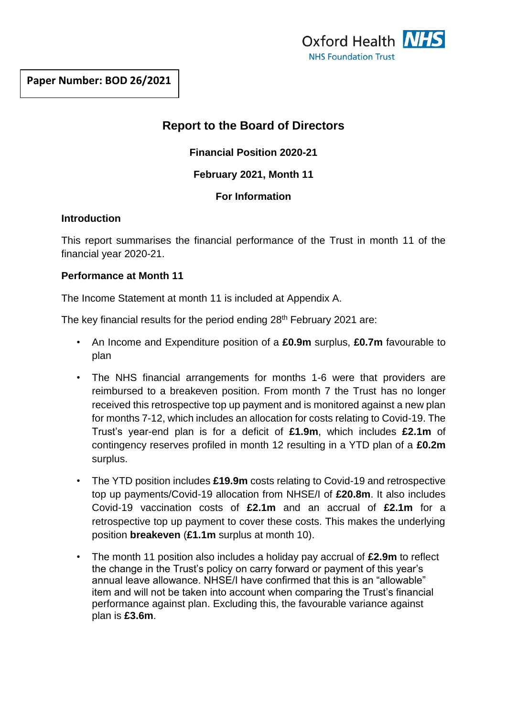# **Report to the Board of Directors**

**Financial Position 2020-21**

## **February 2021, Month 11**

## **For Information**

## **Introduction**

This report summarises the financial performance of the Trust in month 11 of the financial year 2020-21.

## **Performance at Month 11**

The Income Statement at month 11 is included at Appendix A.

The key financial results for the period ending 28<sup>th</sup> February 2021 are:

- An Income and Expenditure position of a **£0.9m** surplus, **£0.7m** favourable to plan
- The NHS financial arrangements for months 1-6 were that providers are reimbursed to a breakeven position. From month 7 the Trust has no longer received this retrospective top up payment and is monitored against a new plan for months 7-12, which includes an allocation for costs relating to Covid-19. The Trust's year-end plan is for a deficit of **£1.9m**, which includes **£2.1m** of contingency reserves profiled in month 12 resulting in a YTD plan of a **£0.2m**  surplus.
- The YTD position includes **£19.9m** costs relating to Covid-19 and retrospective top up payments/Covid-19 allocation from NHSE/I of **£20.8m**. It also includes Covid-19 vaccination costs of **£2.1m** and an accrual of **£2.1m** for a retrospective top up payment to cover these costs. This makes the underlying position **breakeven** (**£1.1m** surplus at month 10).
- The month 11 position also includes a holiday pay accrual of **£2.9m** to reflect the change in the Trust's policy on carry forward or payment of this year's annual leave allowance. NHSE/I have confirmed that this is an "allowable" item and will not be taken into account when comparing the Trust's financial performance against plan. Excluding this, the favourable variance against plan is **£3.6m**.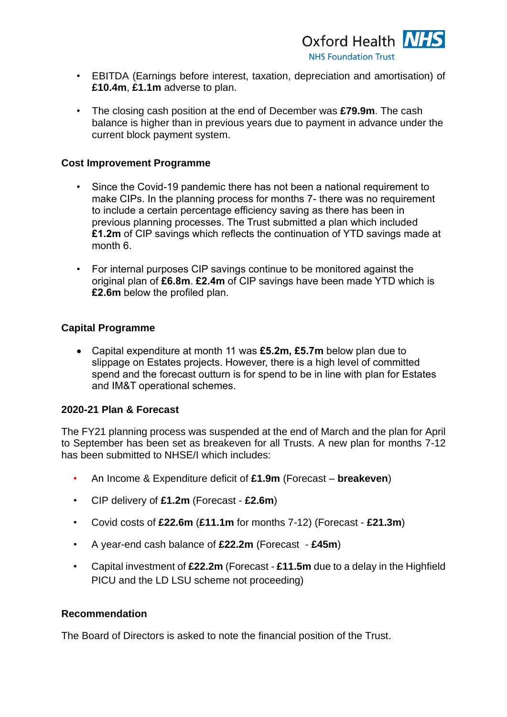

- EBITDA (Earnings before interest, taxation, depreciation and amortisation) of **£10.4m**, **£1.1m** adverse to plan.
- The closing cash position at the end of December was **£79.9m**. The cash balance is higher than in previous years due to payment in advance under the current block payment system.

#### **Cost Improvement Programme**

- Since the Covid-19 pandemic there has not been a national requirement to make CIPs. In the planning process for months 7- there was no requirement to include a certain percentage efficiency saving as there has been in previous planning processes. The Trust submitted a plan which included **£1.2m** of CIP savings which reflects the continuation of YTD savings made at month 6.
- For internal purposes CIP savings continue to be monitored against the original plan of **£6.8m**. **£2.4m** of CIP savings have been made YTD which is **£2.6m** below the profiled plan.

#### **Capital Programme**

• Capital expenditure at month 11 was **£5.2m, £5.7m** below plan due to slippage on Estates projects. However, there is a high level of committed spend and the forecast outturn is for spend to be in line with plan for Estates and IM&T operational schemes.

#### **2020-21 Plan & Forecast**

The FY21 planning process was suspended at the end of March and the plan for April to September has been set as breakeven for all Trusts. A new plan for months 7-12 has been submitted to NHSE/I which includes:

- An Income & Expenditure deficit of **£1.9m** (Forecast **breakeven**)
- CIP delivery of **£1.2m** (Forecast **£2.6m**)
- Covid costs of **£22.6m** (**£11.1m** for months 7-12) (Forecast **£21.3m**)
- A year-end cash balance of **£22.2m** (Forecast **£45m**)
- Capital investment of **£22.2m** (Forecast **£11.5m** due to a delay in the Highfield PICU and the LD LSU scheme not proceeding)

#### **Recommendation**

The Board of Directors is asked to note the financial position of the Trust.